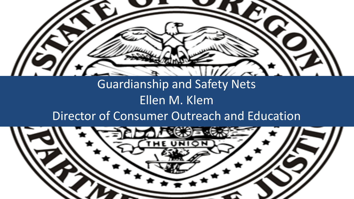

### Guardianship and Safety Nets Ellen M. Klem

### Director of Consumer Outreach and Education

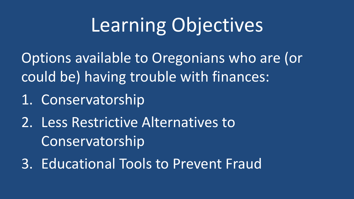# Learning Objectives

Options available to Oregonians who are (or could be) having trouble with finances:

1. Conservatorship

2. Less Restrictive Alternatives to Conservatorship

3. Educational Tools to Prevent Fraud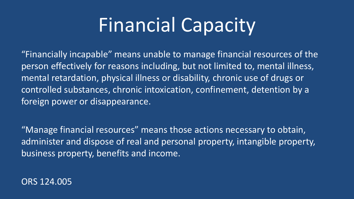## Financial Capacity

"Financially incapable" means unable to manage financial resources of the person effectively for reasons including, but not limited to, mental illness, mental retardation, physical illness or disability, chronic use of drugs or controlled substances, chronic intoxication, confinement, detention by a foreign power or disappearance.

"Manage financial resources" means those actions necessary to obtain, administer and dispose of real and personal property, intangible property, business property, benefits and income.

ORS 124.005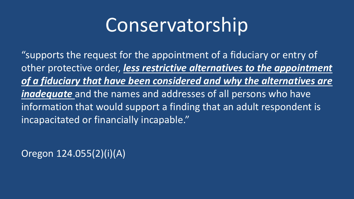## **Conservatorship**

"supports the request for the appointment of a fiduciary or entry of other protective order, *less restrictive alternatives to the appointment of a fiduciary that have been considered and why the alternatives are inadequate* and the names and addresses of all persons who have information that would support a finding that an adult respondent is incapacitated or financially incapable."

Oregon 124.055(2)(i)(A)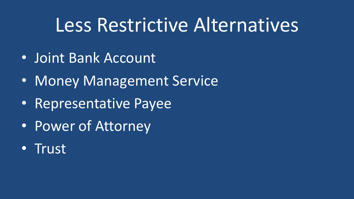### Less Restrictive Alternatives

- Joint Bank Account
- Money Management Service
- Representative Payee
- Power of Attorney
- Trust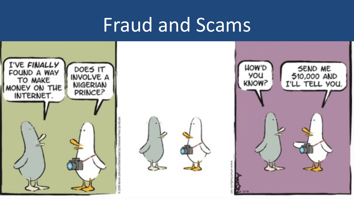## Fraud and Scams

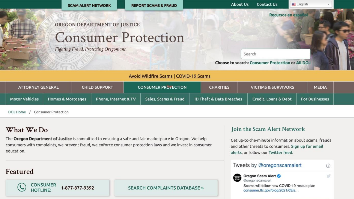

| What We Do |  |  |  |  |
|------------|--|--|--|--|
|------------|--|--|--|--|

**Motor Vehicles** 

DOJ Home

The Oregon Department of Justice is committed to ensuring a safe and fair marketplace in Oregon. We help consumers with complaints, we prevent fraud, we enforce consumer protection laws and we invest in consumer education.

Phone, Internet & TV

#### Featured

**CONSUMER** 1-877-877-9392 **HOTLINE:** 

**Homes & Mortgages** 

**Consumer Protection** 

**SEARCH COMPLAINTS DATABASE »** 

Sales, Scams & Fraud

#### Join the Scam Alert Network

Credit, Loans & Debt

**For Businesses** 

 $\odot$ 

岁

Get up-to-the-minute information about scams, frauds and other threats to consumers. Sign up for email alerts, or follow our Twitter feed.

#### Tweets by @oregonscamalert



ID Theft & Data Breaches

Oregon Scam Alert @oregonscamalert

Scams will follow new COVID-19 rescue plan consumer.ftc.gov/blog/2021/03/s...